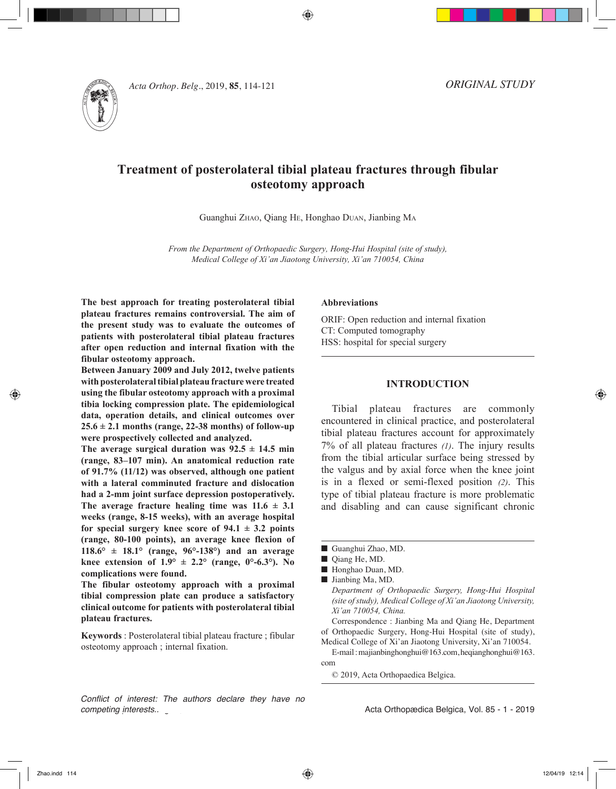◈



*Acta Orthop. Belg.***, 2019, 85**, 114-121

# **Treatment of posterolateral tibial plateau fractures through fibular osteotomy approach**

Guanghui Zhao, Qiang He, Honghao Duan, Jianbing M<sup>a</sup>

*From the Department of Orthopaedic Surgery, Hong-Hui Hospital (site of study), Medical College of Xi'an Jiaotong University, Xi'an 710054, China*

**The best approach for treating posterolateral tibial plateau fractures remains controversial. The aim of the present study was to evaluate the outcomes of patients with posterolateral tibial plateau fractures after open reduction and internal fixation with the fibular osteotomy approach.**

**Between January 2009 and July 2012, twelve patients with posterolateral tibial plateau fracture were treated using the fibular osteotomy approach with a proximal tibia locking compression plate. The epidemiological data, operation details, and clinical outcomes over 25.6 ± 2.1 months (range, 22-38 months) of follow-up were prospectively collected and analyzed.** 

The average surgical duration was  $92.5 \pm 14.5$  min **(range, 83–107 min). An anatomical reduction rate of 91.7% (11/12) was observed, although one patient with a lateral comminuted fracture and dislocation had a 2-mm joint surface depression postoperatively.**  The average fracture healing time was  $11.6 \pm 3.1$ **weeks (range, 8-15 weeks), with an average hospital for special surgery knee score of 94.1 ± 3.2 points (range, 80-100 points), an average knee flexion of 118.6° ± 18.1° (range, 96°-138°) and an average knee extension of 1.9°**  $\pm$  **2.2° (range, 0°-6.3°). No complications were found.** 

**The fibular osteotomy approach with a proximal tibial compression plate can produce a satisfactory clinical outcome for patients with posterolateral tibial plateau fractures.**

**Keywords** : Posterolateral tibial plateau fracture ; fibular osteotomy approach ; internal fixation.

*Conflict of interest: The authors declare they have no competing interests..*

## **Abbreviations**

ORIF: Open reduction and internal fixation CT: Computed tomography HSS: hospital for special surgery

## **INTRODUCTION**

Tibial plateau fractures are commonly encountered in clinical practice, and posterolateral tibial plateau fractures account for approximately 7% of all plateau fractures *(1)*. The injury results from the tibial articular surface being stressed by the valgus and by axial force when the knee joint is in a flexed or semi-flexed position *(2)*. This type of tibial plateau fracture is more problematic and disabling and can cause significant chronic

- Guanghui Zhao, MD.
- Qiang He, MD.
- Honghao Duan, MD.
- $\blacksquare$  Jianbing Ma, MD.
- *Department of Orthopaedic Surgery, Hong-Hui Hospital (site of study), Medical College of Xi'an Jiaotong University, Xi'an 710054, China.*

Correspondence : Jianbing Ma and Qiang He, Department of Orthopaedic Surgery, Hong-Hui Hospital (site of study),

Medical College of Xi'an Jiaotong University, Xi'an 710054. E-mail : majianbinghonghui@163.com, heqianghonghui@163. com

© 2019, Acta Orthopaedica Belgica.

Acta Orthopædica Belgica, Vol. 85 - 1 - 2019

◈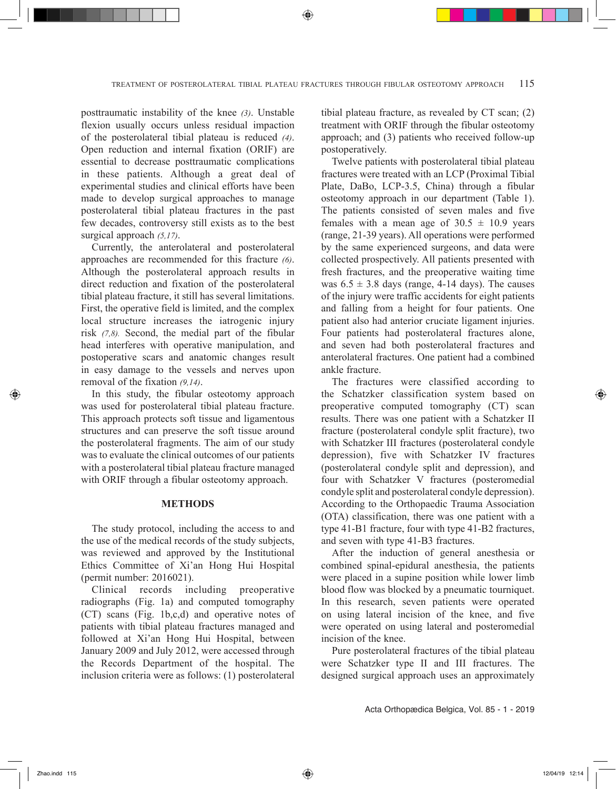posttraumatic instability of the knee *(3)*. Unstable flexion usually occurs unless residual impaction of the posterolateral tibial plateau is reduced *(4)*. Open reduction and internal fixation (ORIF) are essential to decrease posttraumatic complications in these patients. Although a great deal of experimental studies and clinical efforts have been made to develop surgical approaches to manage posterolateral tibial plateau fractures in the past few decades, controversy still exists as to the best surgical approach *(5,17)*.

Currently, the anterolateral and posterolateral approaches are recommended for this fracture *(6)*. Although the posterolateral approach results in direct reduction and fixation of the posterolateral tibial plateau fracture, it still has several limitations. First, the operative field is limited, and the complex local structure increases the iatrogenic injury risk *(7,8).* Second, the medial part of the fibular head interferes with operative manipulation, and postoperative scars and anatomic changes result in easy damage to the vessels and nerves upon removal of the fixation *(9,14)*.

In this study, the fibular osteotomy approach was used for posterolateral tibial plateau fracture. This approach protects soft tissue and ligamentous structures and can preserve the soft tissue around the posterolateral fragments. The aim of our study was to evaluate the clinical outcomes of our patients with a posterolateral tibial plateau fracture managed with ORIF through a fibular osteotomy approach.

## **METHODS**

The study protocol, including the access to and the use of the medical records of the study subjects, was reviewed and approved by the Institutional Ethics Committee of Xi'an Hong Hui Hospital (permit number: 2016021).

Clinical records including preoperative radiographs (Fig. 1a) and computed tomography (CT) scans (Fig. 1b,c,d) and operative notes of patients with tibial plateau fractures managed and followed at Xi'an Hong Hui Hospital, between January 2009 and July 2012, were accessed through the Records Department of the hospital. The inclusion criteria were as follows: (1) posterolateral

tibial plateau fracture, as revealed by CT scan; (2) treatment with ORIF through the fibular osteotomy approach; and (3) patients who received follow-up postoperatively.

Twelve patients with posterolateral tibial plateau fractures were treated with an LCP (Proximal Tibial Plate, DaBo, LCP-3.5, China) through a fibular osteotomy approach in our department (Table 1). The patients consisted of seven males and five females with a mean age of  $30.5 \pm 10.9$  years (range, 21-39 years). All operations were performed by the same experienced surgeons, and data were collected prospectively. All patients presented with fresh fractures, and the preoperative waiting time was  $6.5 \pm 3.8$  days (range, 4-14 days). The causes of the injury were traffic accidents for eight patients and falling from a height for four patients. One patient also had anterior cruciate ligament injuries. Four patients had posterolateral fractures alone, and seven had both posterolateral fractures and anterolateral fractures. One patient had a combined ankle fracture.

The fractures were classified according to the Schatzker classification system based on preoperative computed tomography (CT) scan results. There was one patient with a Schatzker II fracture (posterolateral condyle split fracture), two with Schatzker III fractures (posterolateral condyle depression), five with Schatzker IV fractures (posterolateral condyle split and depression), and four with Schatzker V fractures (posteromedial condyle split and posterolateral condyle depression). According to the Orthopaedic Trauma Association (OTA) classification, there was one patient with a type 41-B1 fracture, four with type 41-B2 fractures, and seven with type 41-B3 fractures.

After the induction of general anesthesia or combined spinal-epidural anesthesia, the patients were placed in a supine position while lower limb blood flow was blocked by a pneumatic tourniquet. In this research, seven patients were operated on using lateral incision of the knee, and five were operated on using lateral and posteromedial incision of the knee.

Pure posterolateral fractures of the tibial plateau were Schatzker type II and III fractures. The designed surgical approach uses an approximately

Acta Orthopædica Belgica, Vol. 85 - 1 - 2019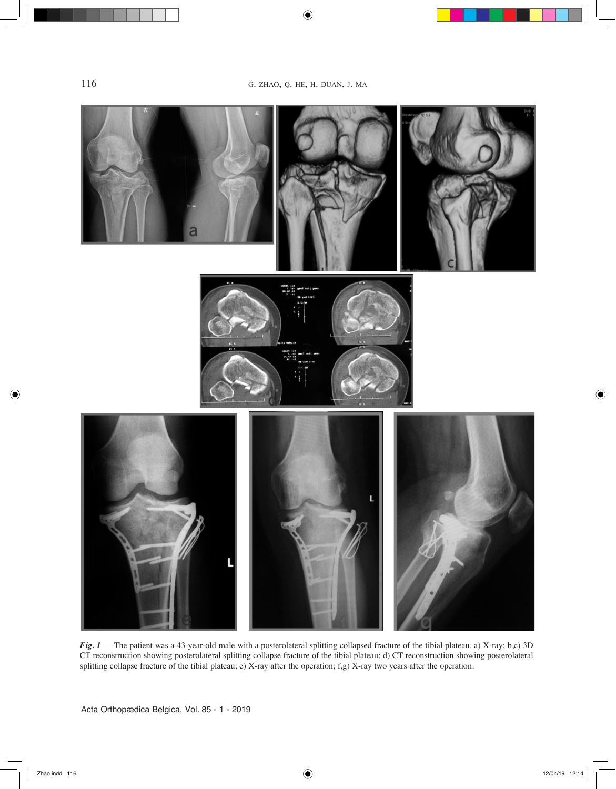$\bigcirc$ 



*Fig. 1* – The patient was a 43-year-old male with a posterolateral splitting collapsed fracture of the tibial plateau. a) X-ray; b,c) 3D CT reconstruction showing posterolateral splitting collapse fracture of the tibial plateau; d) CT reconstruction showing posterolateral splitting collapse fracture of the tibial plateau; e) X-ray after the operation; f,g) X-ray two years after the operation.

Acta Orthopædica Belgica, Vol. 85 - 1 - 2019

 $\bigcirc$ 

 $\bigoplus$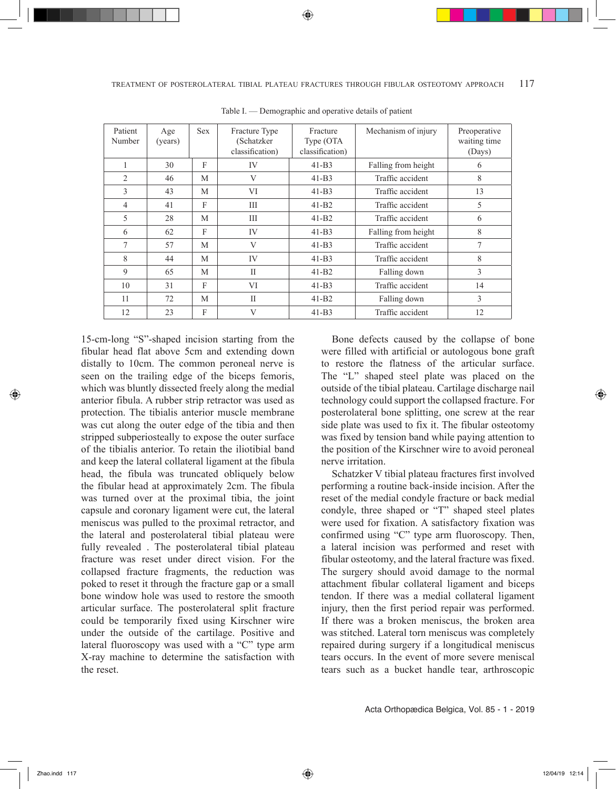| Patient<br>Number | Age<br>(years) | <b>Sex</b> | Fracture Type<br>(Schatzker<br>classification) | Fracture<br>Type (OTA<br>classification) | Mechanism of injury | Preoperative<br>waiting time<br>(Days) |
|-------------------|----------------|------------|------------------------------------------------|------------------------------------------|---------------------|----------------------------------------|
| 1                 | 30             | F          | IV                                             | $41-B3$                                  | Falling from height | 6                                      |
| $\overline{2}$    | 46             | M          | V                                              | $41-B3$                                  | Traffic accident    | 8                                      |
| 3                 | 43             | M          | VI                                             | $41-B3$                                  | Traffic accident    | 13                                     |
| 4                 | 41             | F          | Ш                                              | $41-B2$                                  | Traffic accident    | 5                                      |
| 5                 | 28             | M          | Ш                                              | $41-B2$                                  | Traffic accident    | 6                                      |
| 6                 | 62             | F          | IV                                             | $41-B3$                                  | Falling from height | 8                                      |
| 7                 | 57             | M          | V                                              | $41-B3$                                  | Traffic accident    | 7                                      |
| 8                 | 44             | M          | IV                                             | $41-B3$                                  | Traffic accident    | 8                                      |
| 9                 | 65             | M          | П                                              | $41-B2$                                  | Falling down        | 3                                      |
| 10                | 31             | F          | VI                                             | $41-B3$                                  | Traffic accident    | 14                                     |
| 11                | 72             | M          | $\mathbf{I}$                                   | $41 - B2$                                | Falling down        | $\overline{3}$                         |
| 12                | 23             | F          | V                                              | $41-B3$                                  | Traffic accident    | 12                                     |

Table I. — Demographic and operative details of patient

◈

15-cm-long "S"-shaped incision starting from the fibular head flat above 5cm and extending down distally to 10cm. The common peroneal nerve is seen on the trailing edge of the biceps femoris, which was bluntly dissected freely along the medial anterior fibula. A rubber strip retractor was used as protection. The tibialis anterior muscle membrane was cut along the outer edge of the tibia and then stripped subperiosteally to expose the outer surface of the tibialis anterior. To retain the iliotibial band and keep the lateral collateral ligament at the fibula head, the fibula was truncated obliquely below the fibular head at approximately 2cm. The fibula was turned over at the proximal tibia, the joint capsule and coronary ligament were cut, the lateral meniscus was pulled to the proximal retractor, and the lateral and posterolateral tibial plateau were fully revealed . The posterolateral tibial plateau fracture was reset under direct vision. For the collapsed fracture fragments, the reduction was poked to reset it through the fracture gap or a small bone window hole was used to restore the smooth articular surface. The posterolateral split fracture could be temporarily fixed using Kirschner wire under the outside of the cartilage. Positive and lateral fluoroscopy was used with a "C" type arm X-ray machine to determine the satisfaction with the reset.

Bone defects caused by the collapse of bone were filled with artificial or autologous bone graft to restore the flatness of the articular surface. The "L" shaped steel plate was placed on the outside of the tibial plateau. Cartilage discharge nail technology could support the collapsed fracture. For posterolateral bone splitting, one screw at the rear side plate was used to fix it. The fibular osteotomy was fixed by tension band while paying attention to the position of the Kirschner wire to avoid peroneal nerve irritation.

Schatzker V tibial plateau fractures first involved performing a routine back-inside incision. After the reset of the medial condyle fracture or back medial condyle, three shaped or "T" shaped steel plates were used for fixation. A satisfactory fixation was confirmed using "C" type arm fluoroscopy. Then, a lateral incision was performed and reset with fibular osteotomy, and the lateral fracture was fixed. The surgery should avoid damage to the normal attachment fibular collateral ligament and biceps tendon. If there was a medial collateral ligament injury, then the first period repair was performed. If there was a broken meniscus, the broken area was stitched. Lateral torn meniscus was completely repaired during surgery if a longitudical meniscus tears occurs. In the event of more severe meniscal tears such as a bucket handle tear, arthroscopic

◈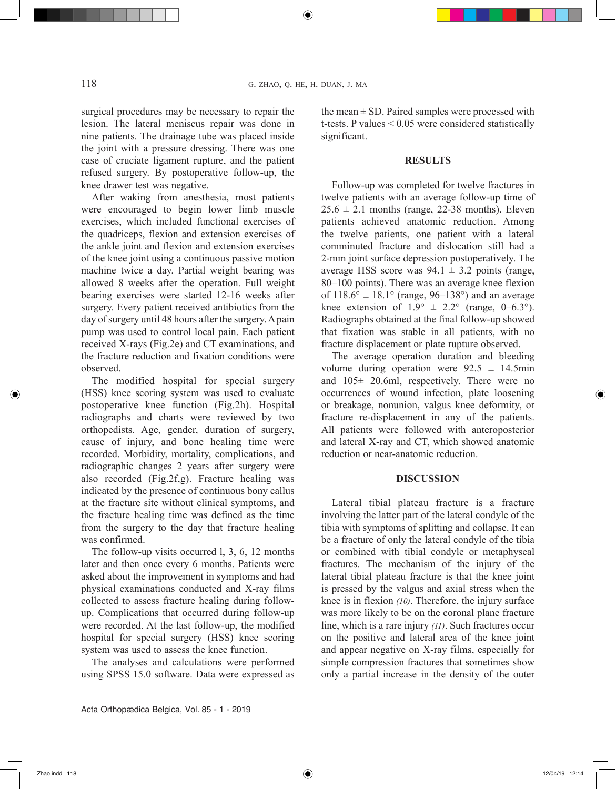⊕

surgical procedures may be necessary to repair the lesion. The lateral meniscus repair was done in nine patients. The drainage tube was placed inside the joint with a pressure dressing. There was one case of cruciate ligament rupture, and the patient refused surgery. By postoperative follow-up, the knee drawer test was negative.

After waking from anesthesia, most patients were encouraged to begin lower limb muscle exercises, which included functional exercises of the quadriceps, flexion and extension exercises of the ankle joint and flexion and extension exercises of the knee joint using a continuous passive motion machine twice a day. Partial weight bearing was allowed 8 weeks after the operation. Full weight bearing exercises were started 12-16 weeks after surgery. Every patient received antibiotics from the day of surgery until 48 hours after the surgery. A pain pump was used to control local pain. Each patient received X-rays (Fig.2e) and CT examinations, and the fracture reduction and fixation conditions were observed.

The modified hospital for special surgery (HSS) knee scoring system was used to evaluate postoperative knee function (Fig.2h). Hospital radiographs and charts were reviewed by two orthopedists. Age, gender, duration of surgery, cause of injury, and bone healing time were recorded. Morbidity, mortality, complications, and radiographic changes 2 years after surgery were also recorded (Fig.2f,g). Fracture healing was indicated by the presence of continuous bony callus at the fracture site without clinical symptoms, and the fracture healing time was defined as the time from the surgery to the day that fracture healing was confirmed.

The follow-up visits occurred l, 3, 6, 12 months later and then once every 6 months. Patients were asked about the improvement in symptoms and had physical examinations conducted and X-ray films collected to assess fracture healing during followup. Complications that occurred during follow-up were recorded. At the last follow-up, the modified hospital for special surgery (HSS) knee scoring system was used to assess the knee function.

The analyses and calculations were performed using SPSS 15.0 software. Data were expressed as the mean  $\pm$  SD. Paired samples were processed with t-tests. P values < 0.05 were considered statistically significant.

## **RESULTS**

Follow-up was completed for twelve fractures in twelve patients with an average follow-up time of  $25.6 \pm 2.1$  months (range, 22-38 months). Eleven patients achieved anatomic reduction. Among the twelve patients, one patient with a lateral comminuted fracture and dislocation still had a 2-mm joint surface depression postoperatively. The average HSS score was  $94.1 \pm 3.2$  points (range, 80–100 points). There was an average knee flexion of  $118.6^{\circ} \pm 18.1^{\circ}$  (range, 96–138°) and an average knee extension of  $1.9^{\circ} \pm 2.2^{\circ}$  (range, 0–6.3°). Radiographs obtained at the final follow-up showed that fixation was stable in all patients, with no fracture displacement or plate rupture observed.

The average operation duration and bleeding volume during operation were  $92.5 \pm 14.5$ min and 105± 20.6ml, respectively. There were no occurrences of wound infection, plate loosening or breakage, nonunion, valgus knee deformity, or fracture re-displacement in any of the patients. All patients were followed with anteroposterior and lateral X-ray and CT, which showed anatomic reduction or near-anatomic reduction.

#### **DISCUSSION**

Lateral tibial plateau fracture is a fracture involving the latter part of the lateral condyle of the tibia with symptoms of splitting and collapse. It can be a fracture of only the lateral condyle of the tibia or combined with tibial condyle or metaphyseal fractures. The mechanism of the injury of the lateral tibial plateau fracture is that the knee joint is pressed by the valgus and axial stress when the knee is in flexion *(10)*. Therefore, the injury surface was more likely to be on the coronal plane fracture line, which is a rare injury *(11)*. Such fractures occur on the positive and lateral area of the knee joint and appear negative on X-ray films, especially for simple compression fractures that sometimes show only a partial increase in the density of the outer

◈

◈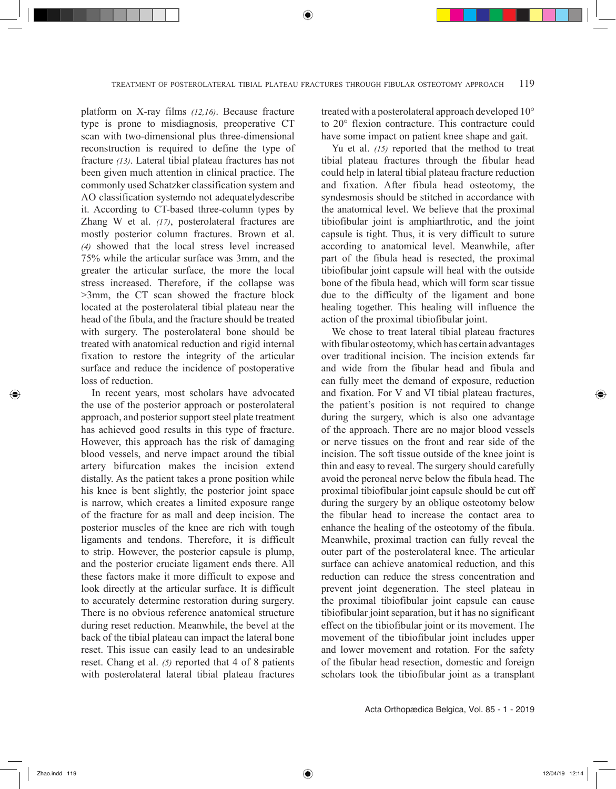⊕

platform on X-ray films *(12,16)*. Because fracture type is prone to misdiagnosis, preoperative CT scan with two-dimensional plus three-dimensional reconstruction is required to define the type of fracture *(13)*. Lateral tibial plateau fractures has not been given much attention in clinical practice. The commonly used Schatzker classification system and AO classification systemdo not adequatelydescribe it. According to CT-based three-column types by Zhang W et al. *(17)*, posterolateral fractures are mostly posterior column fractures. Brown et al. *(4)* showed that the local stress level increased 75% while the articular surface was 3mm, and the greater the articular surface, the more the local stress increased. Therefore, if the collapse was >3mm, the CT scan showed the fracture block located at the posterolateral tibial plateau near the head of the fibula, and the fracture should be treated with surgery. The posterolateral bone should be treated with anatomical reduction and rigid internal fixation to restore the integrity of the articular surface and reduce the incidence of postoperative loss of reduction.

In recent years, most scholars have advocated the use of the posterior approach or posterolateral approach, and posterior support steel plate treatment has achieved good results in this type of fracture. However, this approach has the risk of damaging blood vessels, and nerve impact around the tibial artery bifurcation makes the incision extend distally. As the patient takes a prone position while his knee is bent slightly, the posterior joint space is narrow, which creates a limited exposure range of the fracture for as mall and deep incision. The posterior muscles of the knee are rich with tough ligaments and tendons. Therefore, it is difficult to strip. However, the posterior capsule is plump, and the posterior cruciate ligament ends there. All these factors make it more difficult to expose and look directly at the articular surface. It is difficult to accurately determine restoration during surgery. There is no obvious reference anatomical structure during reset reduction. Meanwhile, the bevel at the back of the tibial plateau can impact the lateral bone reset. This issue can easily lead to an undesirable reset. Chang et al. *(5)* reported that 4 of 8 patients with posterolateral lateral tibial plateau fractures treated with a posterolateral approach developed 10° to 20° flexion contracture. This contracture could have some impact on patient knee shape and gait.

Yu et al. *(15)* reported that the method to treat tibial plateau fractures through the fibular head could help in lateral tibial plateau fracture reduction and fixation. After fibula head osteotomy, the syndesmosis should be stitched in accordance with the anatomical level. We believe that the proximal tibiofibular joint is amphiarthrotic, and the joint capsule is tight. Thus, it is very difficult to suture according to anatomical level. Meanwhile, after part of the fibula head is resected, the proximal tibiofibular joint capsule will heal with the outside bone of the fibula head, which will form scar tissue due to the difficulty of the ligament and bone healing together. This healing will influence the action of the proximal tibiofibular joint.

We chose to treat lateral tibial plateau fractures with fibular osteotomy, which has certain advantages over traditional incision. The incision extends far and wide from the fibular head and fibula and can fully meet the demand of exposure, reduction and fixation. For V and VI tibial plateau fractures, the patient's position is not required to change during the surgery, which is also one advantage of the approach. There are no major blood vessels or nerve tissues on the front and rear side of the incision. The soft tissue outside of the knee joint is thin and easy to reveal. The surgery should carefully avoid the peroneal nerve below the fibula head. The proximal tibiofibular joint capsule should be cut off during the surgery by an oblique osteotomy below the fibular head to increase the contact area to enhance the healing of the osteotomy of the fibula. Meanwhile, proximal traction can fully reveal the outer part of the posterolateral knee. The articular surface can achieve anatomical reduction, and this reduction can reduce the stress concentration and prevent joint degeneration. The steel plateau in the proximal tibiofibular joint capsule can cause tibiofibular joint separation, but it has no significant effect on the tibiofibular joint or its movement. The movement of the tibiofibular joint includes upper and lower movement and rotation. For the safety of the fibular head resection, domestic and foreign scholars took the tibiofibular joint as a transplant

◈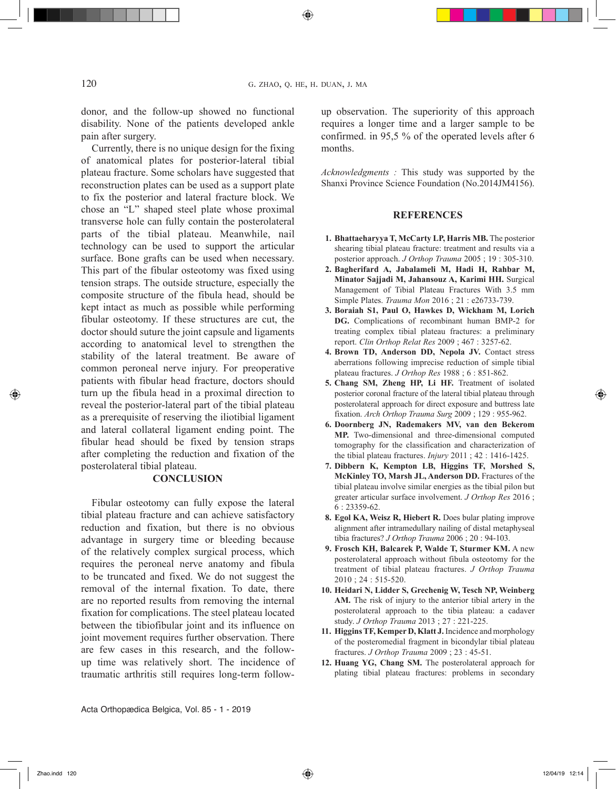◈

donor, and the follow-up showed no functional disability. None of the patients developed ankle pain after surgery.

Currently, there is no unique design for the fixing of anatomical plates for posterior-lateral tibial plateau fracture. Some scholars have suggested that reconstruction plates can be used as a support plate to fix the posterior and lateral fracture block. We chose an "L" shaped steel plate whose proximal transverse hole can fully contain the posterolateral parts of the tibial plateau. Meanwhile, nail technology can be used to support the articular surface. Bone grafts can be used when necessary. This part of the fibular osteotomy was fixed using tension straps. The outside structure, especially the composite structure of the fibula head, should be kept intact as much as possible while performing fibular osteotomy. If these structures are cut, the doctor should suture the joint capsule and ligaments according to anatomical level to strengthen the stability of the lateral treatment. Be aware of common peroneal nerve injury. For preoperative patients with fibular head fracture, doctors should turn up the fibula head in a proximal direction to reveal the posterior-lateral part of the tibial plateau as a prerequisite of reserving the iliotibial ligament and lateral collateral ligament ending point. The fibular head should be fixed by tension straps after completing the reduction and fixation of the posterolateral tibial plateau.

#### **CONCLUSION**

Fibular osteotomy can fully expose the lateral tibial plateau fracture and can achieve satisfactory reduction and fixation, but there is no obvious advantage in surgery time or bleeding because of the relatively complex surgical process, which requires the peroneal nerve anatomy and fibula to be truncated and fixed. We do not suggest the removal of the internal fixation. To date, there are no reported results from removing the internal fixation for complications. The steel plateau located between the tibiofibular joint and its influence on joint movement requires further observation. There are few cases in this research, and the followup time was relatively short. The incidence of traumatic arthritis still requires long-term followup observation. The superiority of this approach requires a longer time and a larger sample to be confirmed. in 95,5 % of the operated levels after 6 months.

*Acknowledgments :* This study was supported by the Shanxi Province Science Foundation (No.2014JM4156).

## **REFERENCES**

- **1. Bhattaeharyya T, McCarty LP, Harris MB.** The posterior shearing tibial plateau fracture: treatment and results via a posterior approach. *J Orthop Trauma* 2005 ; 19 : 305-310.
- **2. Bagherifard A, Jabalameli M, Hadi H, Rahbar M, Minator Sajjadi M, Jahansouz A, Karimi HH.** Surgical Management of Tibial Plateau Fractures With 3.5 mm Simple Plates. *Trauma Mon* 2016 ; 21 : e26733-739.
- **3. Boraiah S1, Paul O, Hawkes D, Wickham M, Lorich DG.** Complications of recombinant human BMP-2 for treating complex tibial plateau fractures: a preliminary report. *Clin Orthop Relat Res* 2009 ; 467 : 3257-62.
- **4. Brown TD, Anderson DD, Nepola JV.** Contact stress aberrations following imprecise reduction of simple tibial plateau fractures. *J Orthop Res* 1988 ; 6 : 851-862.
- **5. Chang SM, Zheng HP, Li HF.** Treatment of isolated posterior coronal fracture of the lateral tibial plateau through posterolateral approach for direct exposure and buttress late fixation. *Arch Orthop Trauma Surg* 2009 ; 129 : 955-962.
- **6. Doornberg JN, Rademakers MV, van den Bekerom MP.** Two-dimensional and three-dimensional computed tomography for the classification and characterization of the tibial plateau fractures. *Injury* 2011 ; 42 : 1416-1425.
- **7. Dibbern K, Kempton LB, Higgins TF, Morshed S, McKinley TO, Marsh JL, Anderson DD.** Fractures of the tibial plateau involve similar energies as the tibial pilon but greater articular surface involvement. *J Orthop Res* 2016 ; 6 : 23359-62.
- **8. Egol KA, Weisz R, Hiebert R.** Does bular plating improve alignment after intramedullary nailing of distal metaphyseal tibia fractures? *J Orthop Trauma* 2006 ; 20 : 94-103.
- **9. Frosch KH, Balcarek P, Walde T, Sturmer KM.** A new posterolateral approach without fibula osteotomy for the treatment of tibial plateau fractures. *J Orthop Trauma* 2010 ; 24 : 515-520.
- **10. Heidari N, Lidder S, Grechenig W, Tesch NP, Weinberg AM.** The risk of injury to the anterior tibial artery in the posterolateral approach to the tibia plateau: a cadaver study. *J Orthop Trauma* 2013 ; 27 : 221-225.
- **11. Higgins TF, Kemper D, Klatt J.** Incidence and morphology of the posteromedial fragment in bicondylar tibial plateau fractures. *J Orthop Trauma* 2009 ; 23 : 45-51.
- **12. Huang YG, Chang SM.** The posterolateral approach for plating tibial plateau fractures: problems in secondary

Acta Orthopædica Belgica, Vol. 85 - 1 - 2019